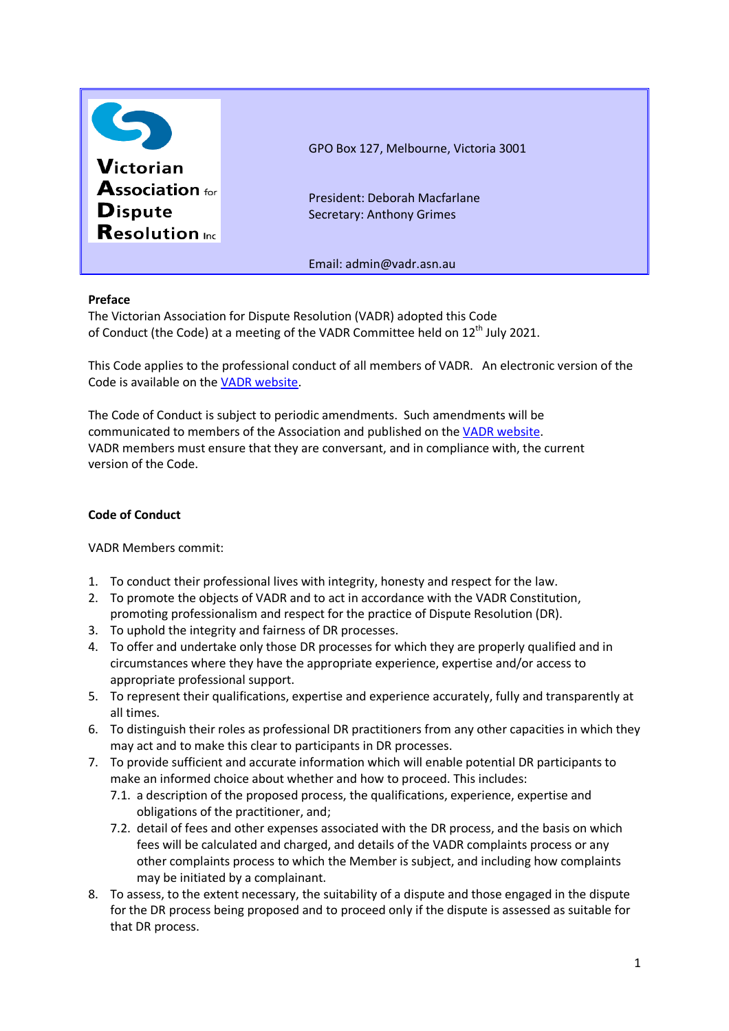

## **Preface**

The Victorian Association for Dispute Resolution (VADR) adopted this Code of Conduct (the Code) at a meeting of the VADR Committee held on 12<sup>th</sup> July 2021.

This Code applies to the professional conduct of all members of VADR. An electronic version of the Code is available on the VADR website.

The Code of Conduct is subject to periodic amendments. Such amendments will be communicated to members of the Association and published on the VADR website. VADR members must ensure that they are conversant, and in compliance with, the current version of the Code.

## **Code of Conduct**

VADR Members commit:

- 1. To conduct their professional lives with integrity, honesty and respect for the law.
- 2. To promote the objects of VADR and to act in accordance with the VADR Constitution, promoting professionalism and respect for the practice of Dispute Resolution (DR).
- 3. To uphold the integrity and fairness of DR processes.
- 4. To offer and undertake only those DR processes for which they are properly qualified and in circumstances where they have the appropriate experience, expertise and/or access to appropriate professional support.
- 5. To represent their qualifications, expertise and experience accurately, fully and transparently at all times.
- 6. To distinguish their roles as professional DR practitioners from any other capacities in which they may act and to make this clear to participants in DR processes.
- 7. To provide sufficient and accurate information which will enable potential DR participants to make an informed choice about whether and how to proceed. This includes:
	- 7.1. a description of the proposed process, the qualifications, experience, expertise and obligations of the practitioner, and;
	- 7.2. detail of fees and other expenses associated with the DR process, and the basis on which fees will be calculated and charged, and details of the VADR complaints process or any other complaints process to which the Member is subject, and including how complaints may be initiated by a complainant.
- 8. To assess, to the extent necessary, the suitability of a dispute and those engaged in the dispute for the DR process being proposed and to proceed only if the dispute is assessed as suitable for that DR process.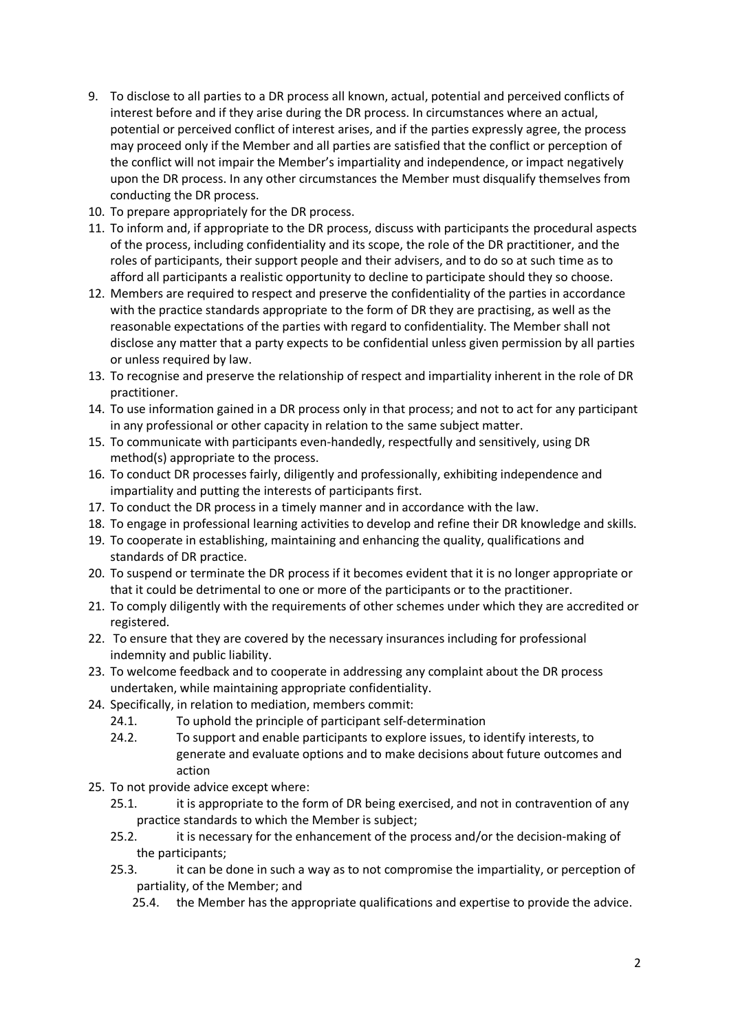- 9. To disclose to all parties to a DR process all known, actual, potential and perceived conflicts of interest before and if they arise during the DR process. In circumstances where an actual, potential or perceived conflict of interest arises, and if the parties expressly agree, the process may proceed only if the Member and all parties are satisfied that the conflict or perception of the conflict will not impair the Member's impartiality and independence, or impact negatively upon the DR process. In any other circumstances the Member must disqualify themselves from conducting the DR process.
- 10. To prepare appropriately for the DR process.
- 11. To inform and, if appropriate to the DR process, discuss with participants the procedural aspects of the process, including confidentiality and its scope, the role of the DR practitioner, and the roles of participants, their support people and their advisers, and to do so at such time as to afford all participants a realistic opportunity to decline to participate should they so choose.
- 12. Members are required to respect and preserve the confidentiality of the parties in accordance with the practice standards appropriate to the form of DR they are practising, as well as the reasonable expectations of the parties with regard to confidentiality. The Member shall not disclose any matter that a party expects to be confidential unless given permission by all parties or unless required by law.
- 13. To recognise and preserve the relationship of respect and impartiality inherent in the role of DR practitioner.
- 14. To use information gained in a DR process only in that process; and not to act for any participant in any professional or other capacity in relation to the same subject matter.
- 15. To communicate with participants even-handedly, respectfully and sensitively, using DR method(s) appropriate to the process.
- 16. To conduct DR processes fairly, diligently and professionally, exhibiting independence and impartiality and putting the interests of participants first.
- 17. To conduct the DR process in a timely manner and in accordance with the law.
- 18. To engage in professional learning activities to develop and refine their DR knowledge and skills.
- 19. To cooperate in establishing, maintaining and enhancing the quality, qualifications and standards of DR practice.
- 20. To suspend or terminate the DR process if it becomes evident that it is no longer appropriate or that it could be detrimental to one or more of the participants or to the practitioner.
- 21. To comply diligently with the requirements of other schemes under which they are accredited or registered.
- 22. To ensure that they are covered by the necessary insurances including for professional indemnity and public liability.
- 23. To welcome feedback and to cooperate in addressing any complaint about the DR process undertaken, while maintaining appropriate confidentiality.
- 24. Specifically, in relation to mediation, members commit:
	- 24.1. To uphold the principle of participant self-determination
	- 24.2. To support and enable participants to explore issues, to identify interests, to generate and evaluate options and to make decisions about future outcomes and action
- 25. To not provide advice except where:
	- 25.1. it is appropriate to the form of DR being exercised, and not in contravention of any practice standards to which the Member is subject;
	- 25.2. it is necessary for the enhancement of the process and/or the decision-making of the participants;
	- 25.3. it can be done in such a way as to not compromise the impartiality, or perception of partiality, of the Member; and
		- 25.4. the Member has the appropriate qualifications and expertise to provide the advice.